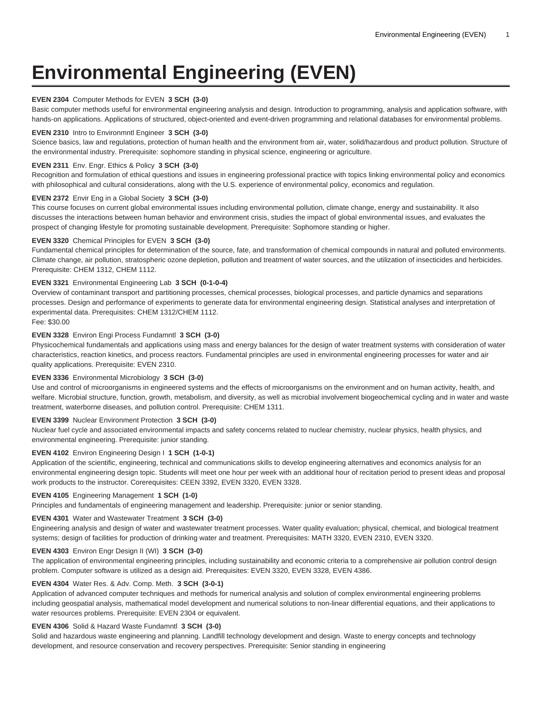# **Environmental Engineering (EVEN)**

# **EVEN 2304** Computer Methods for EVEN **3 SCH (3-0)**

Basic computer methods useful for environmental engineering analysis and design. Introduction to programming, analysis and application software, with hands-on applications. Applications of structured, object-oriented and event-driven programming and relational databases for environmental problems.

## **EVEN 2310** Intro to Environmntl Engineer **3 SCH (3-0)**

Science basics, law and regulations, protection of human health and the environment from air, water, solid/hazardous and product pollution. Structure of the environmental industry. Prerequisite: sophomore standing in physical science, engineering or agriculture.

## **EVEN 2311** Env. Engr. Ethics & Policy **3 SCH (3-0)**

Recognition and formulation of ethical questions and issues in engineering professional practice with topics linking environmental policy and economics with philosophical and cultural considerations, along with the U.S. experience of environmental policy, economics and regulation.

#### **EVEN 2372** Envir Eng in a Global Society **3 SCH (3-0)**

This course focuses on current global environmental issues including environmental pollution, climate change, energy and sustainability. It also discusses the interactions between human behavior and environment crisis, studies the impact of global environmental issues, and evaluates the prospect of changing lifestyle for promoting sustainable development. Prerequisite: Sophomore standing or higher.

#### **EVEN 3320** Chemical Principles for EVEN **3 SCH (3-0)**

Fundamental chemical principles for determination of the source, fate, and transformation of chemical compounds in natural and polluted environments. Climate change, air pollution, stratospheric ozone depletion, pollution and treatment of water sources, and the utilization of insecticides and herbicides. Prerequisite: CHEM 1312, CHEM 1112.

# **EVEN 3321** Environmental Engineering Lab **3 SCH (0-1-0-4)**

Overview of contaminant transport and partitioning processes, chemical processes, biological processes, and particle dynamics and separations processes. Design and performance of experiments to generate data for environmental engineering design. Statistical analyses and interpretation of experimental data. Prerequisites: CHEM 1312/CHEM 1112. Fee: \$30.00

# **EVEN 3328** Environ Engi Process Fundamntl **3 SCH (3-0)**

Physicochemical fundamentals and applications using mass and energy balances for the design of water treatment systems with consideration of water characteristics, reaction kinetics, and process reactors. Fundamental principles are used in environmental engineering processes for water and air quality applications. Prerequisite: EVEN 2310.

#### **EVEN 3336** Environmental Microbiology **3 SCH (3-0)**

Use and control of microorganisms in engineered systems and the effects of microorganisms on the environment and on human activity, health, and welfare. Microbial structure, function, growth, metabolism, and diversity, as well as microbial involvement biogeochemical cycling and in water and waste treatment, waterborne diseases, and pollution control. Prerequisite: CHEM 1311.

## **EVEN 3399** Nuclear Environment Protection **3 SCH (3-0)**

Nuclear fuel cycle and associated environmental impacts and safety concerns related to nuclear chemistry, nuclear physics, health physics, and environmental engineering. Prerequisite: junior standing.

## **EVEN 4102** Environ Engineering Design I **1 SCH (1-0-1)**

Application of the scientific, engineering, technical and communications skills to develop engineering alternatives and economics analysis for an environmental engineering design topic. Students will meet one hour per week with an additional hour of recitation period to present ideas and proposal work products to the instructor. Corerequisites: CEEN 3392, EVEN 3320, EVEN 3328.

## **EVEN 4105** Engineering Management **1 SCH (1-0)**

Principles and fundamentals of engineering management and leadership. Prerequisite: junior or senior standing.

## **EVEN 4301** Water and Wastewater Treatment **3 SCH (3-0)**

Engineering analysis and design of water and wastewater treatment processes. Water quality evaluation; physical, chemical, and biological treatment systems; design of facilities for production of drinking water and treatment. Prerequisites: MATH 3320, EVEN 2310, EVEN 3320.

#### **EVEN 4303** Environ Engr Design II (WI) **3 SCH (3-0)**

The application of environmental engineering principles, including sustainability and economic criteria to a comprehensive air pollution control design problem. Computer software is utilized as a design aid. Prerequisites: EVEN 3320, EVEN 3328, EVEN 4386.

#### **EVEN 4304** Water Res. & Adv. Comp. Meth. **3 SCH (3-0-1)**

Application of advanced computer techniques and methods for numerical analysis and solution of complex environmental engineering problems including geospatial analysis, mathematical model development and numerical solutions to non-linear differential equations, and their applications to water resources problems. Prerequisite: EVEN 2304 or equivalent.

## **EVEN 4306** Solid & Hazard Waste Fundamntl **3 SCH (3-0)**

Solid and hazardous waste engineering and planning. Landfill technology development and design. Waste to energy concepts and technology development, and resource conservation and recovery perspectives. Prerequisite: Senior standing in engineering